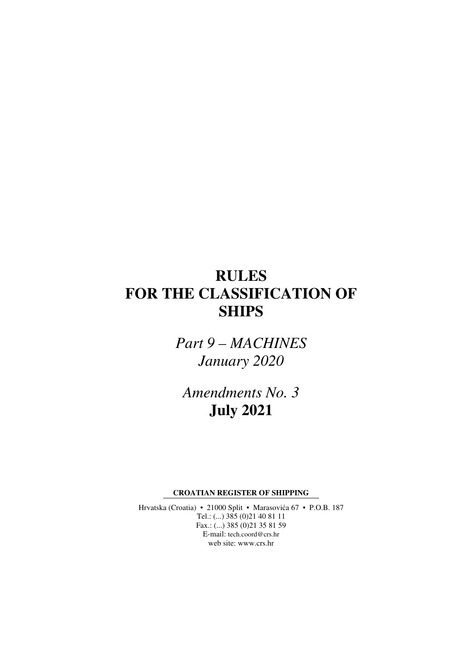# **RULES FOR THE CLASSIFICATION OF SHIPS**

*Part 9 – MACHINES January 2020* 

*Amendments No. 3*  **July 2021** 

**CROATIAN REGISTER OF SHIPPING** 

Hrvatska (Croatia) • 21000 Split • Marasovića 67 • P.O.B. 187 Tel.: (...) 385 (0)21 40 81 11 Fax.: (...) 385 (0)21 35 81 59 E-mail: tech.coord@crs.hr web site: www.crs.hr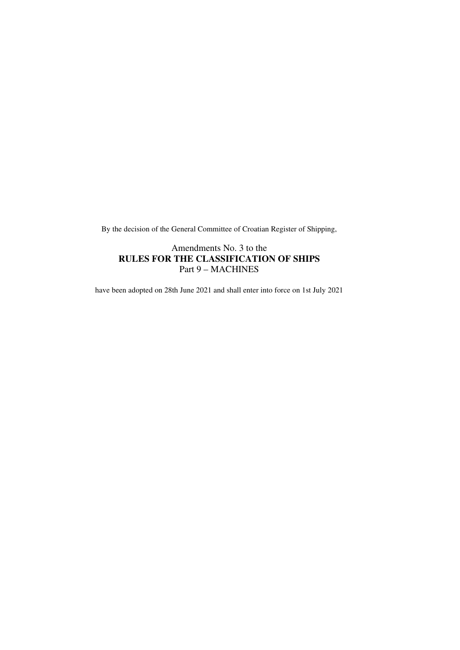By the decision of the General Committee of Croatian Register of Shipping,

### Amendments No. 3 to the **RULES FOR THE CLASSIFICATION OF SHIPS**  Part 9 – MACHINES

have been adopted on 28th June 2021 and shall enter into force on 1st July 2021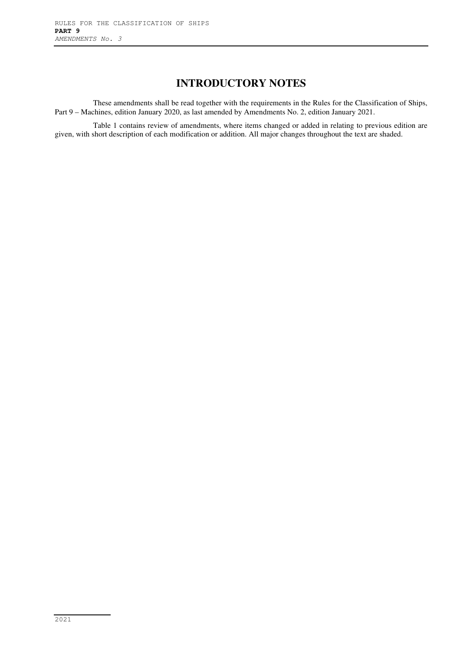## **INTRODUCTORY NOTES**

These amendments shall be read together with the requirements in the Rules for the Classification of Ships, Part 9 – Machines, edition January 2020, as last amended by Amendments No. 2, edition January 2021.

Table 1 contains review of amendments, where items changed or added in relating to previous edition are given, with short description of each modification or addition. All major changes throughout the text are shaded.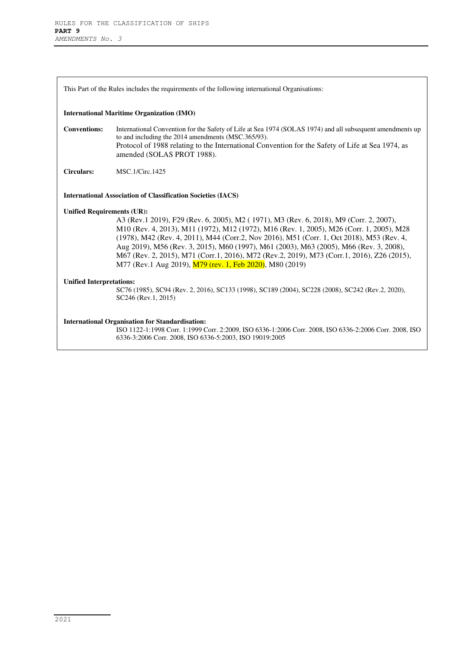This Part of the Rules includes the requirements of the following international Organisations:

### **International Maritime Organization (IMO)**

**Conventions:** International Convention for the Safety of Life at Sea 1974 (SOLAS 1974) and all subsequent amendments up to and including the 2014 amendments (MSC.365/93). Protocol of 1988 relating to the International Convention for the Safety of Life at Sea 1974, as amended (SOLAS PROT 1988).

**Circulars:** MSC.1/Circ.1425

### **International Association of Classification Societies (IACS)**

### **Unified Requirements (UR):**

A3 (Rev.1 2019), F29 (Rev. 6, 2005), M2 ( 1971), M3 (Rev. 6, 2018), M9 (Corr. 2, 2007), M10 (Rev. 4, 2013), M11 (1972), M12 (1972), M16 (Rev. 1, 2005), M26 (Corr. 1, 2005), M28 (1978), M42 (Rev. 4, 2011), M44 (Corr.2, Nov 2016), M51 (Corr. 1, Oct 2018), M53 (Rev. 4, Aug 2019), M56 (Rev. 3, 2015), M60 (1997), M61 (2003), M63 (2005), M66 (Rev. 3, 2008), M67 (Rev. 2, 2015), M71 (Corr.1, 2016), M72 (Rev.2, 2019), M73 (Corr.1, 2016), Z26 (2015), M77 (Rev.1 Aug 2019), M79 (rev. 1, Feb 2020), M80 (2019)

### **Unified Interpretations:**

SC76 (1985), SC94 (Rev. 2, 2016), SC133 (1998), SC189 (2004), SC228 (2008), SC242 (Rev.2, 2020), SC246 (Rev.1, 2015)

### **International Organisation for Standardisation:**

ISO 1122-1:1998 Corr. 1:1999 Corr. 2:2009, ISO 6336-1:2006 Corr. 2008, ISO 6336-2:2006 Corr. 2008, ISO 6336-3:2006 Corr. 2008, ISO 6336-5:2003, ISO 19019:2005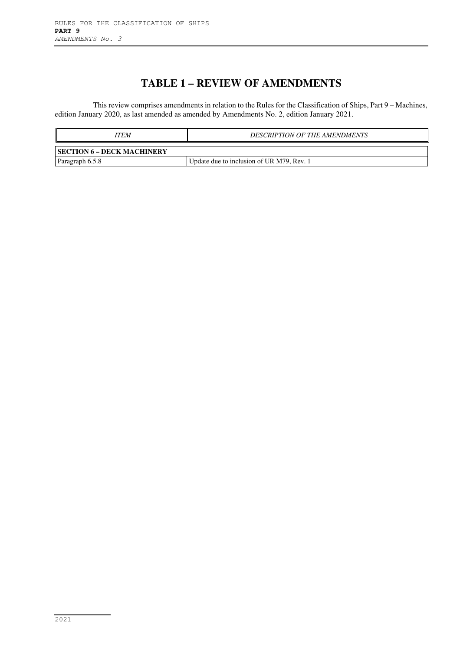# **TABLE 1 – REVIEW OF AMENDMENTS**

This review comprises amendments in relation to the Rules for the Classification of Ships, Part 9 – Machines, edition January 2020, as last amended as amended by Amendments No. 2, edition January 2021.

| ITEM                       | <b>DESCRIPTION OF THE AMENDMENTS</b>      |
|----------------------------|-------------------------------------------|
| SECTION 6 – DECK MACHINERY |                                           |
| Paragraph 6.5.8            | Update due to inclusion of UR M79, Rev. 1 |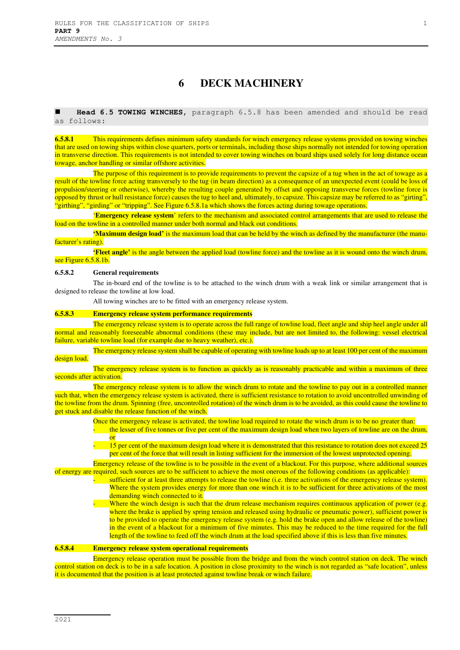### **6 DECK MACHINERY**

 **Head 6.5 TOWING WINCHES,** paragraph 6.5.8 has been amended and should be read as follows:

**6.5.8.1** This requirements defines minimum safety standards for winch emergency release systems provided on towing winches that are used on towing ships within close quarters, ports or terminals, including those ships normally not intended for towing operation in transverse direction. This requirements is not intended to cover towing winches on board ships used solely for long distance ocean towage, anchor handling or similar offshore activities.

The purpose of this requirement is to provide requirements to prevent the capsize of a tug when in the act of towage as a result of the towline force acting transversely to the tug (in beam direction) as a consequence of an unexpected event (could be loss of propulsion/steering or otherwise), whereby the resulting couple generated by offset and opposing transverse forces (towline force is opposed by thrust or hull resistance force) causes the tug to heel and, ultimately, to capsize. This capsize may be referred to as "girting", "girthing", "girding" or "tripping". See Figure 6.5.8.1a which shows the forces acting during towage operations.

'**Emergency release system**' refers to the mechanism and associated control arrangements that are used to release the load on the towline in a controlled manner under both normal and black out conditions.

**'Maximum design load'** is the maximum load that can be held by the winch as defined by the manufacturer (the manufacturer's rating)

**'Fleet angle'** is the angle between the applied load (towline force) and the towline as it is wound onto the winch drum, see Figure 6.5.8.1b.

#### **6.5.8.2 General requirements**

The in-board end of the towline is to be attached to the winch drum with a weak link or similar arrangement that is designed to release the towline at low load.

All towing winches are to be fitted with an emergency release system.

### **6.5.8.3 Emergency release system performance requirements**

The emergency release system is to operate across the full range of towline load, fleet angle and ship heel angle under all normal and reasonably foreseeable abnormal conditions (these may include, but are not limited to, the following: vessel electrical failure, variable towline load (for example due to heavy weather), etc.).

The emergency release system shall be capable of operating with towline loads up to at least 100 per cent of the maximum design load.

The emergency release system is to function as quickly as is reasonably practicable and within a maximum of three seconds after activation.

The emergency release system is to allow the winch drum to rotate and the towline to pay out in a controlled manner such that, when the emergency release system is activated, there is sufficient resistance to rotation to avoid uncontrolled unwinding of the towline from the drum. Spinning (free, uncontrolled rotation) of the winch drum is to be avoided, as this could cause the towline to get stuck and disable the release function of the winch.

- Once the emergency release is activated, the towline load required to rotate the winch drum is to be no greater than: the lesser of five tonnes or five per cent of the maximum design load when two layers of towline are on the drum, or
- 15 per cent of the maximum design load where it is demonstrated that this resistance to rotation does not exceed 25 per cent of the force that will result in listing sufficient for the immersion of the lowest unprotected opening.

Emergency release of the towline is to be possible in the event of a blackout. For this purpose, where additional sources of energy are required, such sources are to be sufficient to achieve the most onerous of the following conditions (as applicable):

- sufficient for at least three attempts to release the towline (i.e. three activations of the emergency release system). Where the system provides energy for more than one winch it is to be sufficient for three activations of the most demanding winch connected to it.
	- Where the winch design is such that the drum release mechanism requires continuous application of power (e.g. where the brake is applied by spring tension and released using hydraulic or pneumatic power), sufficient power is to be provided to operate the emergency release system (e.g. hold the brake open and allow release of the towline) in the event of a blackout for a minimum of five minutes. This may be reduced to the time required for the full length of the towline to feed off the winch drum at the load specified above if this is less than five minutes.

### **6.5.8.4 Emergency release system operational requirements**

Emergency release operation must be possible from the bridge and from the winch control station on deck. The winch control station on deck is to be in a safe location. A position in close proximity to the winch is not regarded as "safe location", unless it is documented that the position is at least protected against towline break or winch failure.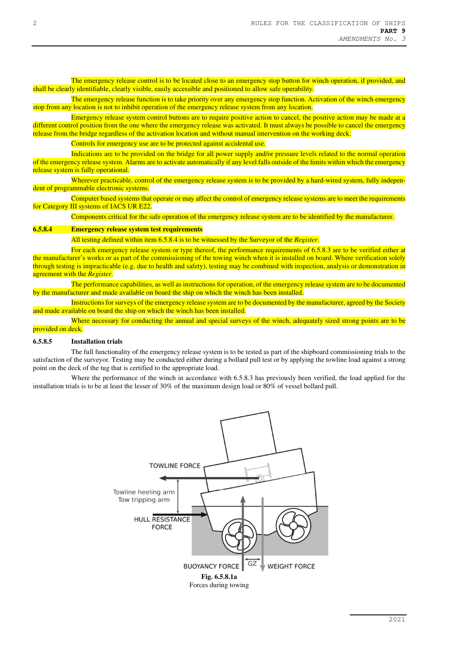The emergency release control is to be located close to an emergency stop button for winch operation, if provided, and shall be clearly identifiable, clearly visible, easily accessible and positioned to allow safe operability.

The emergency release function is to take priority over any emergency stop function. Activation of the winch emergency stop from any location is not to inhibit operation of the emergency release system from any location.

Emergency release system control buttons are to require positive action to cancel, the positive action may be made at a different control position from the one where the emergency release was activated. It must always be possible to cancel the emergency release from the bridge regardless of the activation location and without manual intervention on the working deck.

Controls for emergency use are to be protected against accidental use.

Indications are to be provided on the bridge for all power supply and/or pressure levels related to the normal operation of the emergency release system. Alarms are to activate automatically if any level falls outside of the limits within which the emergency release system is fully operational.

Wherever practicable, control of the emergency release system is to be provided by a hard-wired system, fully independent of programmable electronic systems.

Computer based systems that operate or may affect the control of emergency release systems are to meet the requirements for Category III systems of IACS UR E22.

Components critical for the safe operation of the emergency release system are to be identified by the manufacturer.

### **6.5.8.4 Emergency release system test requirements**

All testing defined within item 6.5.8.4 is to be witnessed by the Surveyor of the *Register*.

For each emergency release system or type thereof, the performance requirements of 6.5.8.3 are to be verified either at the manufacturer's works or as part of the commissioning of the towing winch when it is installed on board. Where verification solely through testing is impracticable (e.g. due to health and safety), testing may be combined with inspection, analysis or demonstration in agreement with the *Register*.

The performance capabilities, as well as instructions for operation, of the emergency release system are to be documented by the manufacturer and made available on board the ship on which the winch has been installed.

Instructions for surveys of the emergency release system are to be documented by the manufacturer, agreed by the Society and made available on board the ship on which the winch has been installed.

Where necessary for conducting the annual and special surveys of the winch, adequately sized strong points are to be provided on deck.

### **6.5.8.5 Installation trials**

The full functionality of the emergency release system is to be tested as part of the shipboard commissioning trials to the satisfaction of the surveyor. Testing may be conducted either during a bollard pull test or by applying the towline load against a strong point on the deck of the tug that is certified to the appropriate load.

Where the performance of the winch in accordance with 6.5.8.3 has previously been verified, the load applied for the installation trials is to be at least the lesser of 30% of the maximum design load or 80% of vessel bollard pull.